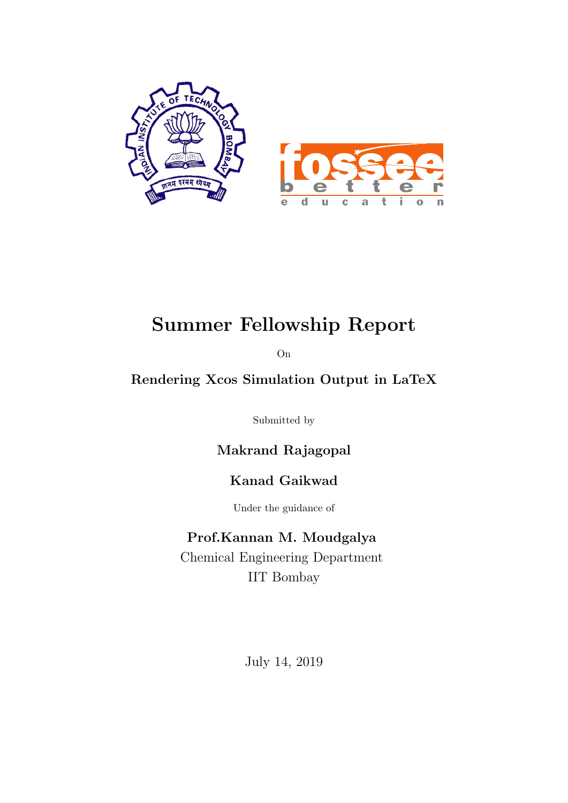

## Summer Fellowship Report

On

### Rendering Xcos Simulation Output in LaTeX

Submitted by

Makrand Rajagopal

### Kanad Gaikwad

Under the guidance of

#### Prof.Kannan M. Moudgalya

Chemical Engineering Department IIT Bombay

July 14, 2019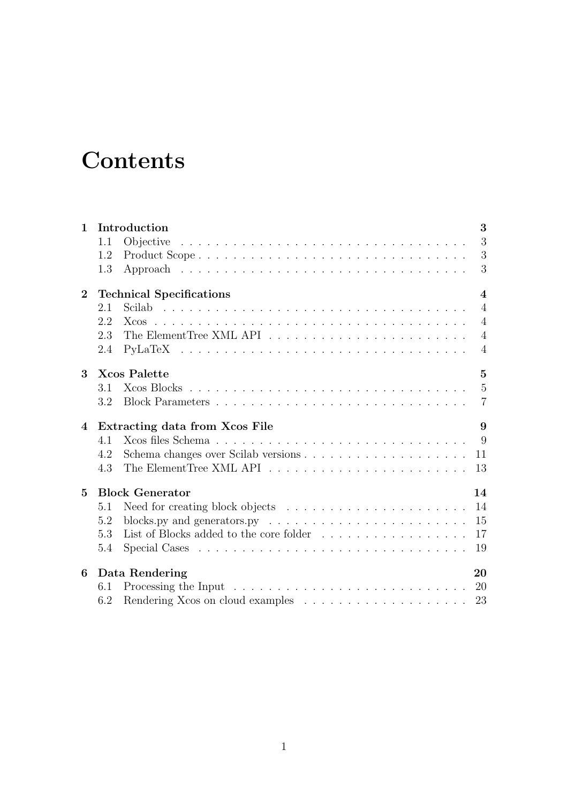## **Contents**

| $\mathbf{1}$   | Introduction                                                                                 | 3                       |
|----------------|----------------------------------------------------------------------------------------------|-------------------------|
|                | 1.1                                                                                          | 3                       |
|                | Product Scope<br>1.2                                                                         | 3                       |
|                | 1.3                                                                                          | 3                       |
| $\overline{2}$ | <b>Technical Specifications</b>                                                              | $\overline{\mathbf{4}}$ |
|                | 2.1                                                                                          | $\overline{4}$          |
|                | 2.2                                                                                          | $\overline{4}$          |
|                | 2.3                                                                                          | $\overline{4}$          |
|                | 2.4                                                                                          | 4                       |
| 3              | <b>Xcos Palette</b>                                                                          | $\overline{5}$          |
|                | 3.1                                                                                          | $\overline{5}$          |
|                | 3.2                                                                                          | $\overline{7}$          |
| $\overline{4}$ | Extracting data from Xcos File                                                               | 9                       |
|                | 4.1                                                                                          | 9                       |
|                | 4.2                                                                                          | 11                      |
|                | 4.3                                                                                          | 13                      |
| 5              | <b>Block Generator</b>                                                                       | 14                      |
|                | 5.1                                                                                          | -14                     |
|                | blocks.py and generators.py $\ldots \ldots \ldots \ldots \ldots \ldots \ldots \ldots$<br>5.2 | 15                      |
|                | 5.3                                                                                          | 17                      |
|                | 5.4                                                                                          | 19                      |
| 6              | Data Rendering                                                                               | 20                      |
|                | 6.1                                                                                          | 20                      |
|                | 6.2                                                                                          | 23                      |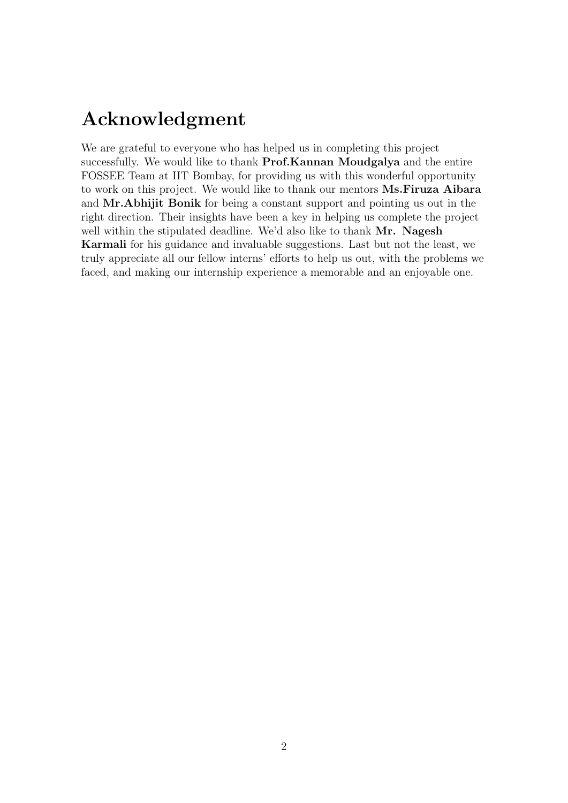## Acknowledgment

We are grateful to everyone who has helped us in completing this project successfully. We would like to thank **Prof.Kannan Moudgalya** and the entire FOSSEE Team at IIT Bombay, for providing us with this wonderful opportunity to work on this project. We would like to thank our mentors Ms.Firuza Aibara and Mr.Abhijit Bonik for being a constant support and pointing us out in the right direction. Their insights have been a key in helping us complete the project well within the stipulated deadline. We'd also like to thank Mr. Nagesh Karmali for his guidance and invaluable suggestions. Last but not the least, we truly appreciate all our fellow interns' efforts to help us out, with the problems we faced, and making our internship experience a memorable and an enjoyable one.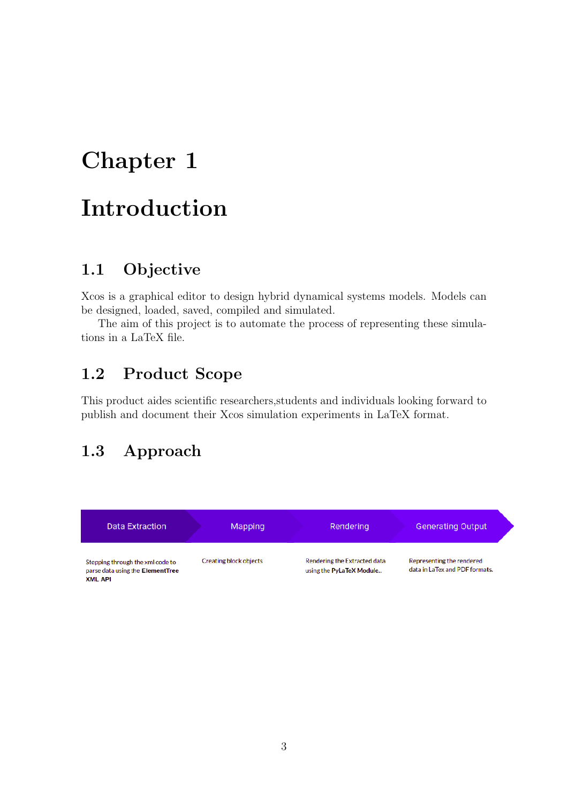## <span id="page-3-0"></span>Introduction

### <span id="page-3-1"></span>1.1 Objective

Xcos is a graphical editor to design hybrid dynamical systems models. Models can be designed, loaded, saved, compiled and simulated.

The aim of this project is to automate the process of representing these simulations in a LaTeX file.

## <span id="page-3-2"></span>1.2 Product Scope

This product aides scientific researchers,students and individuals looking forward to publish and document their Xcos simulation experiments in LaTeX format.

### <span id="page-3-3"></span>1.3 Approach

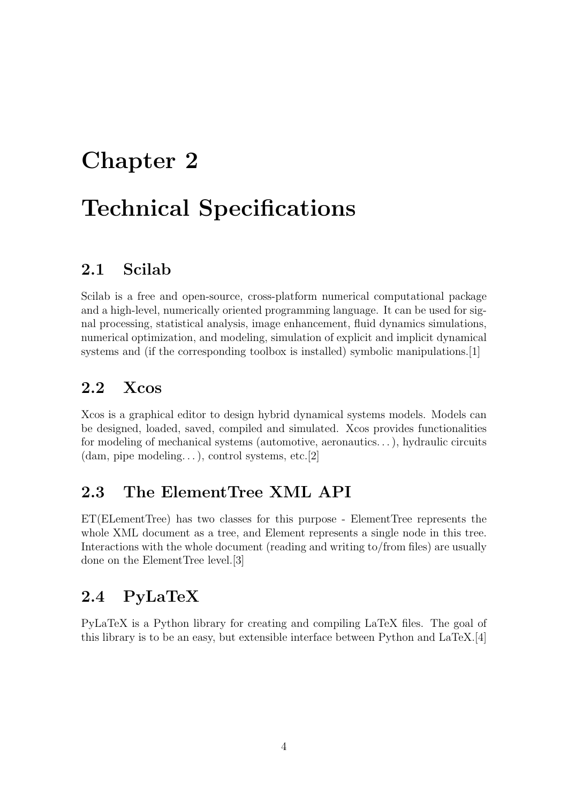# <span id="page-4-0"></span>Chapter 2 Technical Specifications

## <span id="page-4-1"></span>2.1 Scilab

Scilab is a free and open-source, cross-platform numerical computational package and a high-level, numerically oriented programming language. It can be used for signal processing, statistical analysis, image enhancement, fluid dynamics simulations, numerical optimization, and modeling, simulation of explicit and implicit dynamical systems and (if the corresponding toolbox is installed) symbolic manipulations.[\[1\]](#page-24-0)

### <span id="page-4-2"></span>2.2 Xcos

Xcos is a graphical editor to design hybrid dynamical systems models. Models can be designed, loaded, saved, compiled and simulated. Xcos provides functionalities for modeling of mechanical systems (automotive, aeronautics. . . ), hydraulic circuits  $(dam, pipe modeling...), control systems, etc. [2]$  $(dam, pipe modeling...), control systems, etc. [2]$ 

### <span id="page-4-3"></span>2.3 The ElementTree XML API

ET(ELementTree) has two classes for this purpose - ElementTree represents the whole XML document as a tree, and Element represents a single node in this tree. Interactions with the whole document (reading and writing to/from files) are usually done on the ElementTree level.[\[3\]](#page-24-2)

## <span id="page-4-4"></span>2.4 PyLaTeX

PyLaTeX is a Python library for creating and compiling LaTeX files. The goal of this library is to be an easy, but extensible interface between Python and LaTeX.[\[4\]](#page-24-3)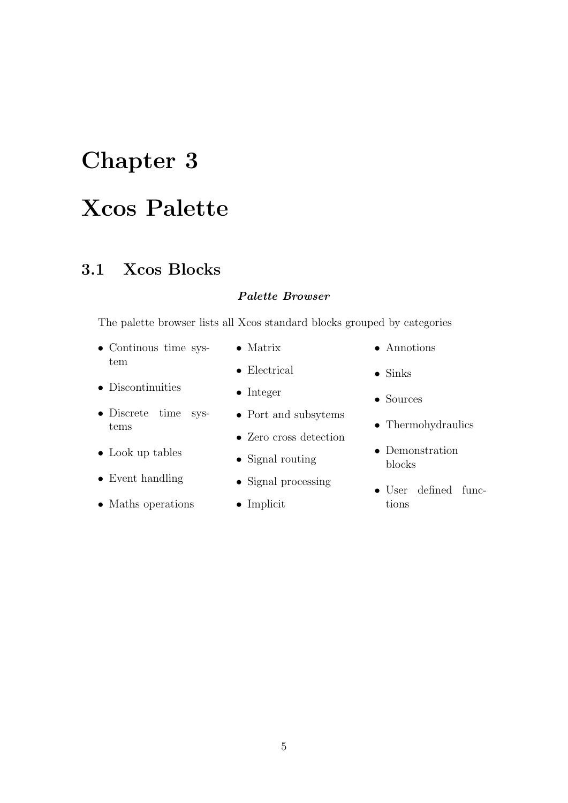## <span id="page-5-0"></span>Xcos Palette

### <span id="page-5-1"></span>3.1 Xcos Blocks

#### Palette Browser

The palette browser lists all Xcos standard blocks grouped by categories

• Continous time system

• Discrete time sys-

• Discontinuities

• Look up tables

• Event handling

• Maths operations

tems

- Matrix
- Electrical
- Integer
- Port and subsytems
- Zero cross detection
- Signal routing
- Signal processing
- Implicit
- Annotions
- Sinks
- Sources
- Thermohydraulics
- Demonstration blocks
- User defined functions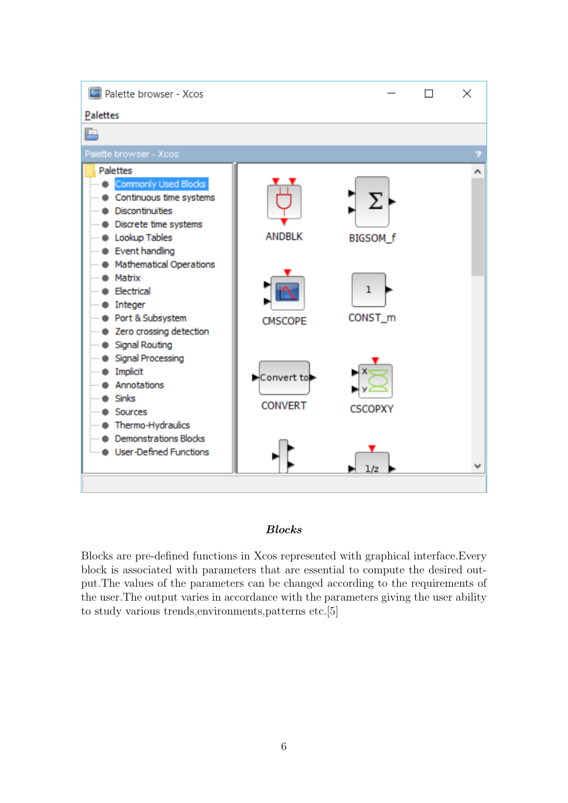

#### Blocks

Blocks are pre-defined functions in Xcos represented with graphical interface.Every block is associated with parameters that are essential to compute the desired output.The values of the parameters can be changed according to the requirements of the user.The output varies in accordance with the parameters giving the user ability to study various trends,environments,patterns etc.[\[5\]](#page-24-4)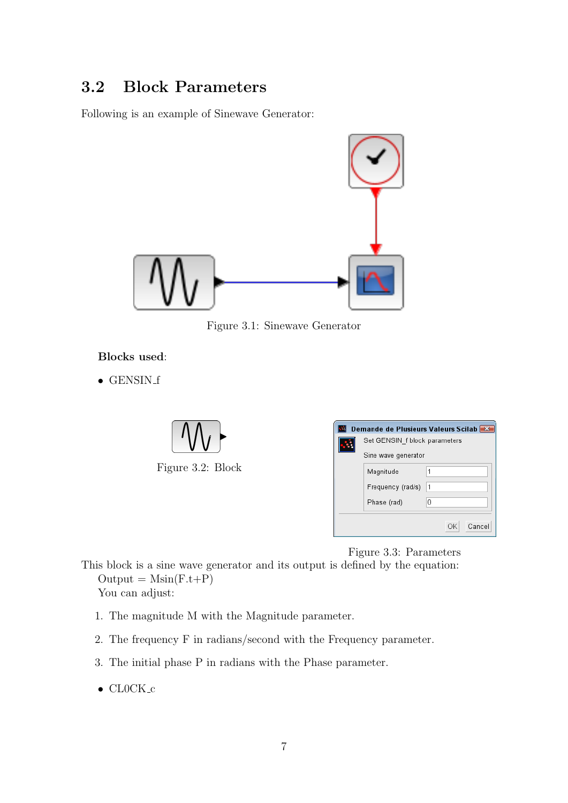## <span id="page-7-0"></span>3.2 Block Parameters

Following is an example of Sinewave Generator:



Figure 3.1: Sinewave Generator

#### Blocks used:

 $\bullet$  GENSIN\_f



| Demande de Plusieurs Valeurs Scilab |                               |              |  |  |  |  |  |  |
|-------------------------------------|-------------------------------|--------------|--|--|--|--|--|--|
|                                     | Set GENSIN f block parameters |              |  |  |  |  |  |  |
|                                     | Sine wave generator           |              |  |  |  |  |  |  |
|                                     | Magnitude                     |              |  |  |  |  |  |  |
|                                     | Frequency (rad/s)             | 1            |  |  |  |  |  |  |
|                                     | Phase (rad)                   | 0            |  |  |  |  |  |  |
|                                     |                               |              |  |  |  |  |  |  |
|                                     |                               | Cancel<br>OK |  |  |  |  |  |  |

Figure 3.3: Parameters

This block is a sine wave generator and its output is defined by the equation:  $Output = Msin(F.t+P)$ You can adjust:

- 1. The magnitude M with the Magnitude parameter.
- 2. The frequency F in radians/second with the Frequency parameter.
- 3. The initial phase P in radians with the Phase parameter.
- $\bullet$  CL0CK<sub>-C</sub>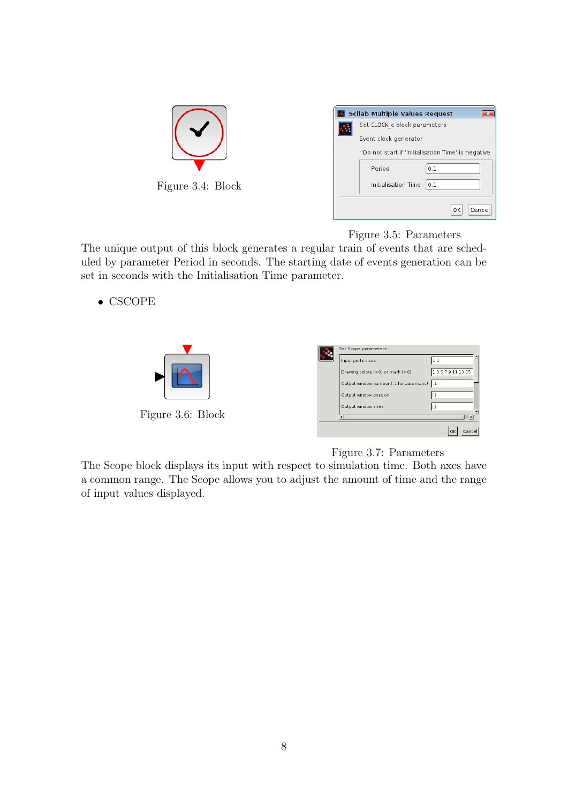|                   | <b>Scilab Multiple Values Request</b>             |
|-------------------|---------------------------------------------------|
|                   | Set CLOCK c block parameters                      |
|                   | Event clock generator                             |
|                   | Do not start if 'Initialisation Time' is negative |
|                   | 0.1<br>Period                                     |
| Figure 3.4: Block | Initialisation Time<br>0.1                        |
|                   | OK<br>Cancel                                      |

Figure 3.5: Parameters

The unique output of this block generates a regular train of events that are scheduled by parameter Period in seconds. The starting date of events generation can be set in seconds with the Initialisation Time parameter.

• CSCOPE

|                   | Set Scope parameters                    |              |
|-------------------|-----------------------------------------|--------------|
|                   | Input ports sizes                       |              |
|                   | Drawing colors (>0) or mark (<0)        | 13579111315  |
|                   | Output window number (-1 for automatic) | 1-1          |
|                   | Output window position                  |              |
|                   | Output window sizes                     |              |
| Figure 3.6: Block |                                         | $\mathbf{E}$ |
|                   |                                         | OK<br>Cancel |

#### Figure 3.7: Parameters

The Scope block displays its input with respect to simulation time. Both axes have a common range. The Scope allows you to adjust the amount of time and the range of input values displayed.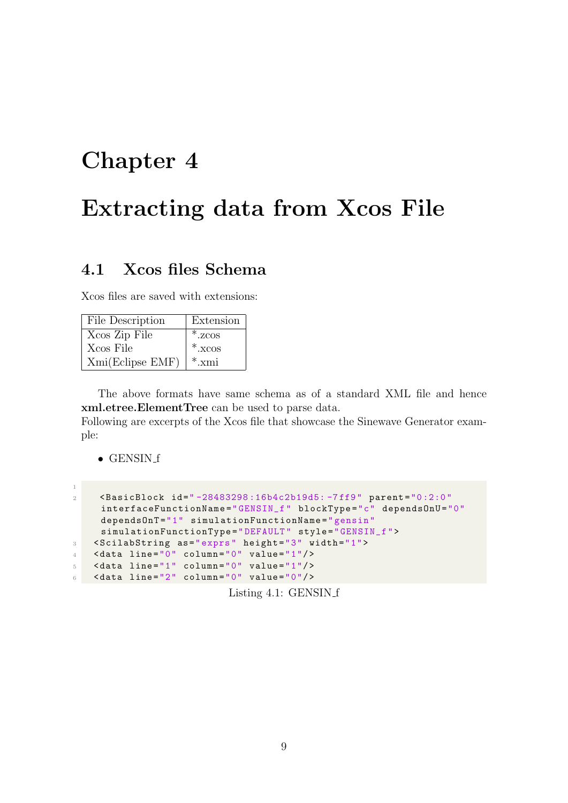## <span id="page-9-0"></span>Extracting data from Xcos File

### <span id="page-9-1"></span>4.1 Xcos files Schema

Xcos files are saved with extensions:

| File Description | Extension      |
|------------------|----------------|
| Xcos Zip File    | $*$ . zcos     |
| Xcos File        | $*$ . $x \cos$ |
| Xmi(Eclipse EMF) | $*_{.}$ xmi    |

The above formats have same schema as of a standard XML file and hence xml.etree.ElementTree can be used to parse data.

Following are excerpts of the Xcos file that showcase the Sinewave Generator example:

 $\bullet$  GENSIN\_f

1

| $\overline{2}$ | <br>SasicBlock id="-28483298:16b4c2b19d5:-7ff9" parent="0:2:0" |
|----------------|----------------------------------------------------------------|
|                | interfaceFunctionName="GENSIN_f" blockType="c" dependsOnU="0"  |
|                | depends0nT="1" simulationFunctionName="gensin"                 |
|                | simulationFunctionType="DEFAULT" style="GENSIN_f">             |
| $3-$           | <scilabstring as="exprs" height="3" width="1"></scilabstring>  |
| $\overline{4}$ | $\lambda$ data line="0" column="0" value="1"/>                 |
| $5-1$          | $\lambda$ data line="1" column="0" value="1"/>                 |
| $6-1$          | $\lambda$ data line="2" column="0" value="0"/>                 |
|                |                                                                |

Listing 4.1: GENSIN f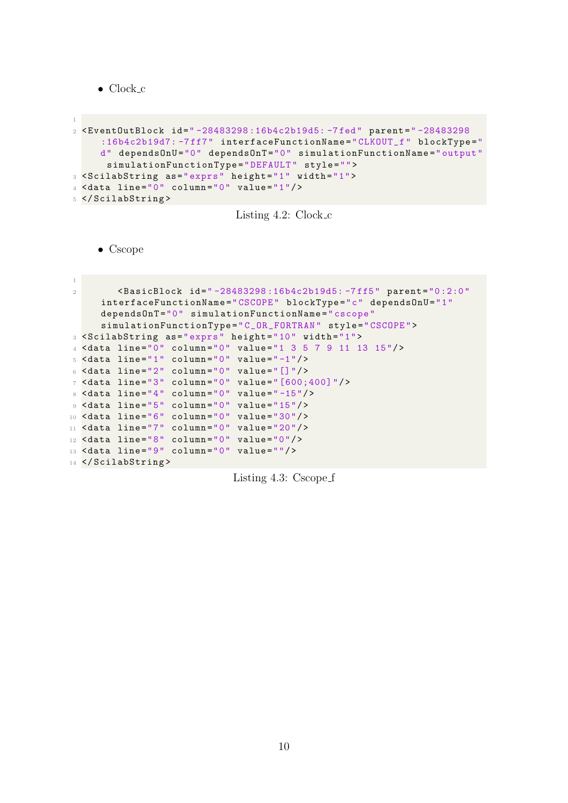• Clock c

```
1
2 < EventOutBlock id =" -28483298 :16b4c2b19d5: -7 fed " parent =" -28483298
     :16b4c2b19d7: -7ff7" interfaceFunctionName="CLKOUT_f" blockType="
     d" dependsOnU="0" dependsOnT="0" simulationFunctionName="output"
      simulationFunctionType="DEFAULT" style="">
3 < ScilabString as =" exprs " height ="1" width ="1">
4 \times data line="0" column="0" value="1"/>
5 </ ScilabString >
```


• Cscope

```
1
2 < BasicBlock id =" -28483298 :16b4c2b19d5: -7 ff5 " parent ="0 :2:0 "
     interfaceFunctionName =" CSCOPE " blockType ="c" dependsOnU ="1"
     dependsOnT ="0" simulationFunctionName =" cscope "
      simulationFunctionType =" C_OR_FORTRAN " style =" CSCOPE ">
3 < ScilabString as =" exprs " height ="10" width ="1">
4 < data line ="0" column ="0" value ="1 3 5 7 9 11 13 15"/ >
5 <data line="1" column="0" value="-1"/>
6 <data line="2" column="0" value="[]"/>
7 \timesdata line="3" column="0" value="[600; 400]"/>
8 \timesdata line="4" column="0" value="-15"/>
9 <data line="5" column="0" value="15"/>
10 \times data line="6" column="0" value="30"/>
11 \text{data line} = "7" \text{column} = "0" \text{value} = "20" / \text{)}12 \leq data line="8" column="0" value="0"/>
13 <data line="9" column="0" value=""/>
14 </ScilabString>
```
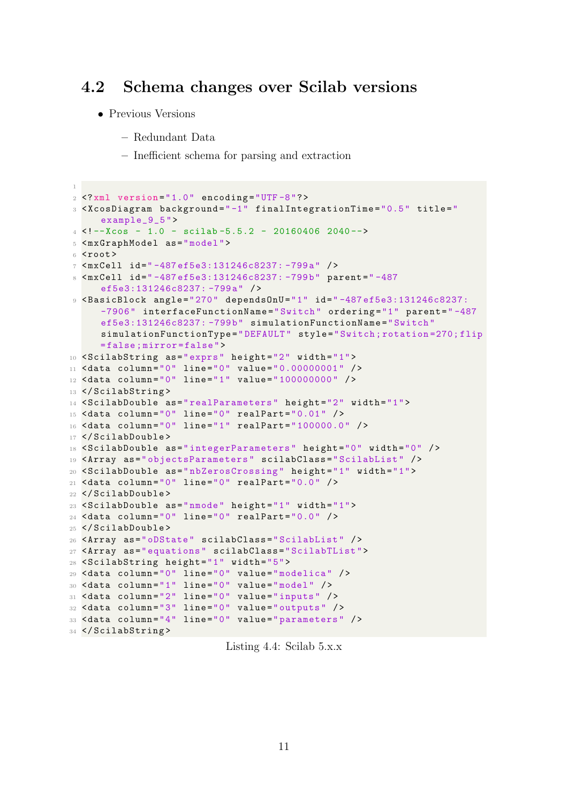#### <span id="page-11-0"></span>4.2 Schema changes over Scilab versions

- Previous Versions
	- Redundant Data
	- Inefficient schema for parsing and extraction

```
\overline{1}2 <? xml version="1.0" encoding="UTF-8"?>
3 < XcosDiagram background =" -1" finalIntegrationTime ="0.5 " title ="
      example_9_5 ">
4 <!--Xcos - 1.0 - scilab -5.5.2 - 20160406 2040-->
5 < mxGraphModel as =" model ">
6 <root>
7 < mxCell id =" -487 ef5e3:131246c8237: -799 a" / >
8 < mxCell id =" -487 ef5e3:131246c8237: -799 b" parent =" -487
      ef5e3:131246c8237: -799 a" / >
9 < BasicBlock angle ="270 " dependsOnU ="1" id =" -487 ef5e3:131246c8237:
      -7906" interfaceFunctionName="Switch" ordering="1" parent="-487
      ef5e3:131246c8237: -799 b" simulationFunctionName =" Switch "
      simulationFunctionType =" DEFAULT " style =" Switch ; rotation =270; flip
      = false ; mirror = false ">
10 <ScilabString as="exprs" height="2" width="1">
11 \frac{1}{10} <data column="0" line="0" value="0.00000001" />
12 < data column = "0" line = "1" value = "100000000" />
13 </ ScilabString >
14 <ScilabDouble as="realParameters" height="2" width="1">
15 < data column ="0" line ="0" realPart =" 0.01 " / >
16 < data column = "0" line = "1" realPart = "100000.0" />
17 </ ScilabDouble >
18 < ScilabDouble as = "integerParameters" height = "0" width = "0" />
19 < Array as =" objectsParameters " scilabClass =" ScilabList " / >
20 < ScilabDouble as =" nbZerosCrossing " height ="1" width ="1">
21 \leq data column="0" line="0" realPart="0.0" />
22 </ ScilabDouble >
23 < ScilabDouble as =" nmode " height ="1" width ="1">
_{24} < data column = "0" line = "0" realPart = "0.0" />
25 </ ScilabDouble >
26 < Array as =" oDState " scilabClass =" ScilabList " / >
27 < Array as =" equations " scilabClass =" ScilabTList ">
28 < ScilabString height ="1" width ="5">
29 <data column="0" line="0" value="modelica" />
30 \times data column="1" line="0" value="model" />
31 < data column = "2" line = "0" value = "inputs" />
32 <data column="3" line="0" value="outputs" />
33 < data column ="4" line ="0" value =" parameters " / >
34 </ ScilabString >
```
Listing 4.4: Scilab 5.x.x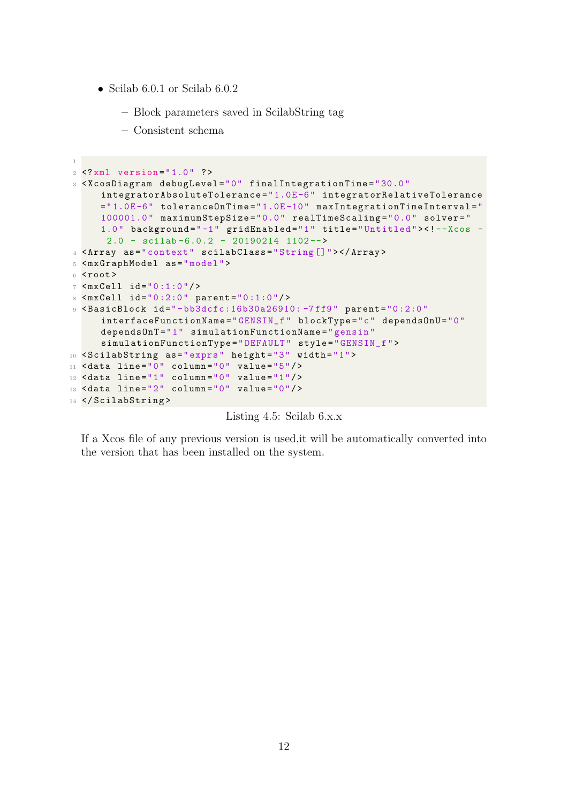- Scilab 6.0.1 or Scilab 6.0.2
	- Block parameters saved in ScilabString tag
	- Consistent schema

```
1
2 <? xml version ="1.0 " ? >
3 < XcosDiagram debugLevel ="0" finalIntegrationTime =" 30.0 "
     integratorAbsoluteTolerance =" 1.0E -6" integratorRelativeTolerance
     ="1.0E -6" toleranceOnTime ="1.0E -10" maxIntegrationTimeInterval ="
     100001.0" maximumStepSize="0.0" realTimeScaling="0.0" solver="
     1.0" background="-1" gridEnabled="1" title="Untitled"><!-Xcos -
      2.0 - scilab -6.0.2 - 20190214 1102 -->
4 < Array as =" context " scilabClass =" String []"> </ Array >
5 < mxGraphModel as =" model ">
6 <root>
7 \times maxCell id="0:1:0"/>
8 \times maxCell id="0:2:0" parent="0:1:0"/>
9 < BasicBlock id ="-bb3dcfc:16b30a26910: -7 ff9 " parent ="0 :2:0 "
     interfaceFunctionName =" GENSIN_f " blockType ="c" dependsOnU ="0"
     dependsOnT ="1" simulationFunctionName =" gensin "
     simulationFunctionType =" DEFAULT " style =" GENSIN_f ">
10 <ScilabString as="exprs" height="3" width="1">
11 \lambdadata line="0" column="0" value="5"/>
12 <data line="1" column="0" value="1"/>
13 \lambdadata line="2" column="0" value="0"/>
14 </ ScilabString >
```
Listing 4.5: Scilab 6.x.x

If a Xcos file of any previous version is used,it will be automatically converted into the version that has been installed on the system.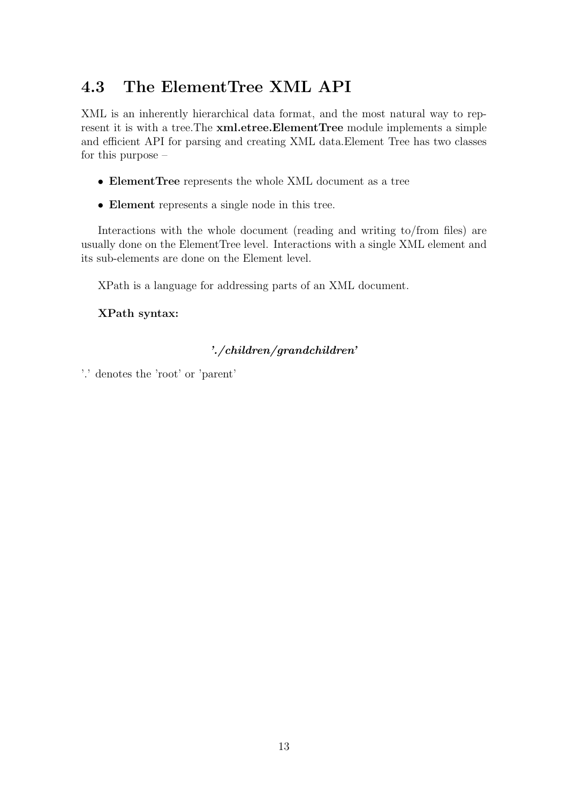## <span id="page-13-0"></span>4.3 The ElementTree XML API

XML is an inherently hierarchical data format, and the most natural way to represent it is with a tree. The **xml.etree. Element Tree** module implements a simple and efficient API for parsing and creating XML data.Element Tree has two classes for this purpose –

- ElementTree represents the whole XML document as a tree
- Element represents a single node in this tree.

Interactions with the whole document (reading and writing to/from files) are usually done on the ElementTree level. Interactions with a single XML element and its sub-elements are done on the Element level.

XPath is a language for addressing parts of an XML document.

#### XPath syntax:

#### './children/grandchildren'

'.' denotes the 'root' or 'parent'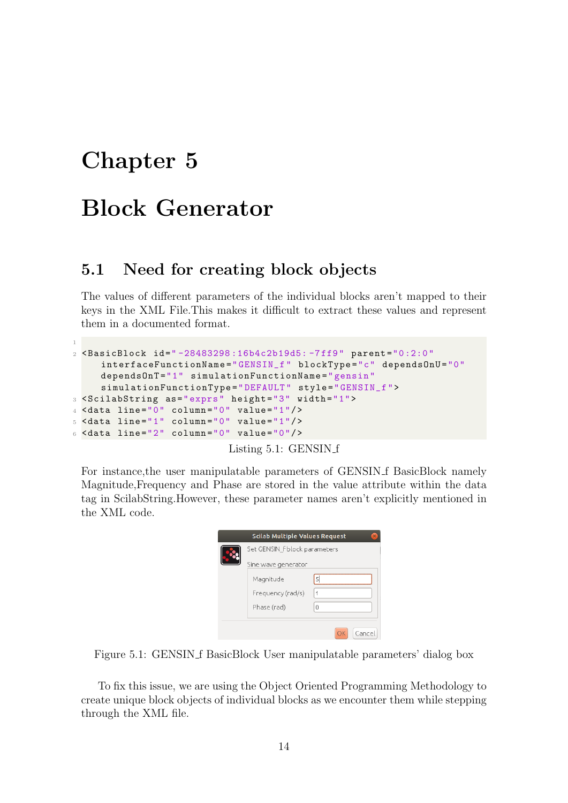## <span id="page-14-0"></span>Block Generator

#### <span id="page-14-1"></span>5.1 Need for creating block objects

The values of different parameters of the individual blocks aren't mapped to their keys in the XML File.This makes it difficult to extract these values and represent them in a documented format.

```
1
2 < BasicBlock id =" -28483298 :16b4c2b19d5: -7 ff9 " parent ="0 :2:0 "
     interfaceFunctionName =" GENSIN_f " blockType ="c" dependsOnU ="0"
     dependsOnT ="1" simulationFunctionName =" gensin "
     simulationFunctionType =" DEFAULT " style =" GENSIN_f ">
3 < ScilabString as =" exprs " height ="3" width ="1">
4 <data line="0" column="0" value="1"/>
5 <data line="1" column="0" value="1"/>
6 <data line="2" column="0" value="0"/>
```
Listing 5.1: GENSIN f

For instance, the user manipulatable parameters of GENSIN f BasicBlock namely Magnitude,Frequency and Phase are stored in the value attribute within the data tag in ScilabString.However, these parameter names aren't explicitly mentioned in the XML code.



Figure 5.1: GENSIN f BasicBlock User manipulatable parameters' dialog box

To fix this issue, we are using the Object Oriented Programming Methodology to create unique block objects of individual blocks as we encounter them while stepping through the XML file.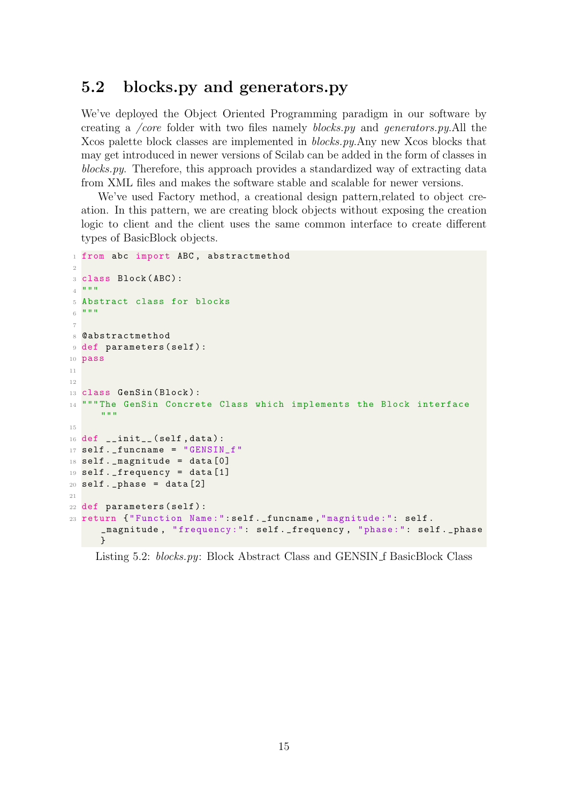### <span id="page-15-0"></span>5.2 blocks.py and generators.py

We've deployed the Object Oriented Programming paradigm in our software by creating a /core folder with two files namely blocks.py and generators.py.All the Xcos palette block classes are implemented in blocks.py.Any new Xcos blocks that may get introduced in newer versions of Scilab can be added in the form of classes in blocks.py. Therefore, this approach provides a standardized way of extracting data from XML files and makes the software stable and scalable for newer versions.

We've used Factory method, a creational design pattern,related to object creation. In this pattern, we are creating block objects without exposing the creation logic to client and the client uses the same common interface to create different types of BasicBlock objects.

```
1 from abc import ABC, abstractmethod
 2
3 class Block (ABC):
4 - 0.015 Abstract class for blocks
6 - 11.11.117
8 @abstractmethod
9 def parameters (self) :
10 pass
11
12
13 class GenSin (Block):
14 """The GenSin Concrete Class which implements the Block interface
      " " " " " "
15
16 def  __init__(self, data):
17 self._funcname = "GENSIN_f"
18 self . _magnitude = data [0]
19 self . _frequency = data [1]
20 self. _phase = data [2]21
22 def parameters ( self ) :
23 return {" Function Name :": self . _funcname ," magnitude :": self .
      _magnitude , " frequency :": self . _frequency , " phase :": self . _phase
      }
```
Listing 5.2: blocks.py: Block Abstract Class and GENSIN f BasicBlock Class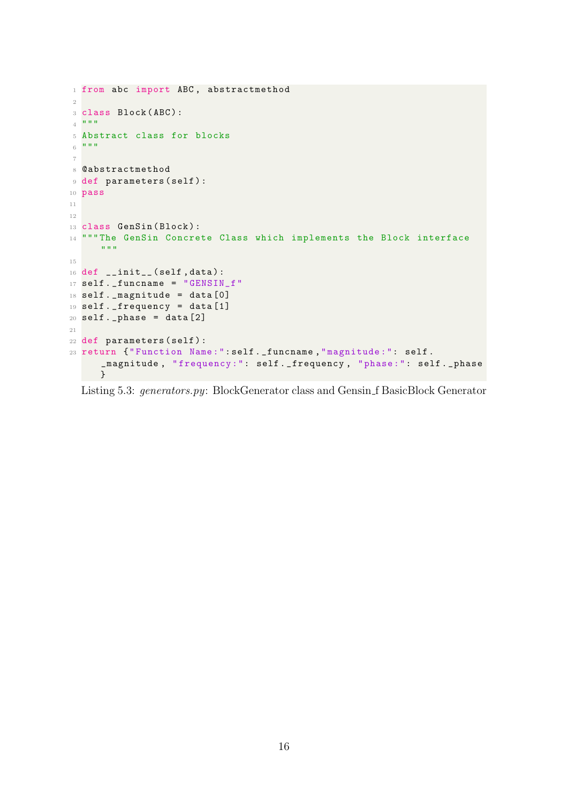```
1 from abc import ABC, abstractmethod
2
3 class Block (ABC):
4 \cdot 10 \cdot 115 Abstract class for blocks
6 - 11.11.117
8 @abstractmethod
9 def parameters (self) :
10 pass
11
12
13 class GenSin (Block):
14 """The GenSin Concrete Class which implements the Block interface
     """
15
16 def _{--}init_{--}(self, data):
17 self._funcname = "GENSIN_f"
18 self . _magnitude = data [0]
19 self . _frequency = data [1]
20 self. _phase = data [2]21
22 def parameters ( self ) :
23 return {" Function Name :": self . _funcname ," magnitude :": self .
      _magnitude , " frequency :": self . _frequency , " phase :": self . _phase
      }
```
Listing 5.3: generators.py: BlockGenerator class and Gensin f BasicBlock Generator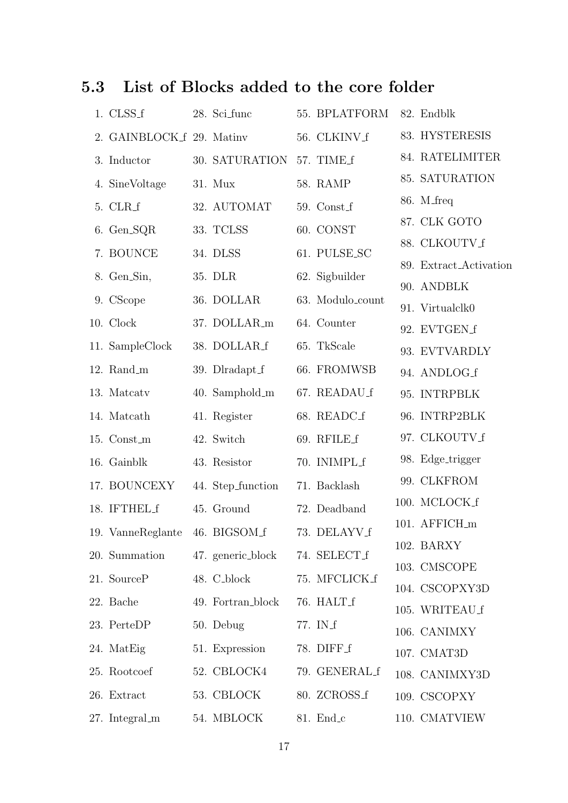## <span id="page-17-0"></span>5.3 List of Blocks added to the core folder

| 1. CLSS_f                      | 28. Sci_func      | 55. BPLATFORM 82. Endblk |                        |
|--------------------------------|-------------------|--------------------------|------------------------|
| 2. GAINBLOCK f 29. Matiny      |                   | 56. CLKINV_f             | 83. HYSTERESIS         |
| 3. Inductor                    | 30. SATURATION    | 57. TIME_f               | 84. RATELIMITER        |
| 4. SineVoltage                 | $31.$ Mux         | 58. RAMP                 | 85. SATURATION         |
| 5. CLR_f                       | 32. AUTOMAT       | $59.$ Const $f$          | $86.$ M_freq           |
| 6. Gen_SQR                     | 33. TCLSS         | 60. CONST                | 87. CLK GOTO           |
| 7. BOUNCE                      | 34. DLSS          | 61. PULSE_SC             | 88. CLKOUTV_f          |
| 8. Gen_Sin,                    | 35. DLR           | 62. Sigbuilder           | 89. Extract_Activation |
| 9. CScope                      | 36. DOLLAR        | 63. Modulo_count         | 90. ANDBLK             |
| 10. Clock                      | 37. DOLLAR_m      | 64. Counter              | 91. Virtualclk0        |
|                                | 38. DOLLAR_f      |                          | 92. EVTGEN_f           |
| 11. SampleClock                |                   | 65. TkScale              | 93. EVTVARDLY          |
| 12. Rand_m                     | 39. Dlradapt_f    | 66. FROMWSB              | 94. ANDLOG_f           |
| 13. Matcatv                    | $40.$ Samphold_m  | 67. READAU f             | 95. INTRPBLK           |
| 14. Matcath                    | 41. Register      | 68. READC_f              | 96. INTRP2BLK          |
| 15. Const_m                    | 42. Switch        | 69. RFILE_f              | 97. CLKOUTV_f          |
| 16. Gainblk                    | 43. Resistor      | 70. INIMPLf              | 98. Edge_trigger       |
| 17. BOUNCEXY                   | 44. Step_function | 71. Backlash             | 99. CLKFROM            |
| 18. IFTHEL f                   | 45. Ground        | 72. Deadband             | 100. MCLOCK_f          |
| 19. VanneReglante 46. BIGSOM_f |                   | 73. DELAYV_f             | 101. AFFICH_m          |
| 20. Summation                  | 47. generic_block | 74. SELECT_f             | 102. BARXY             |
| 21. SourceP                    | 48. C_block       | 75. MFCLICK_f            | 103. CMSCOPE           |
|                                |                   |                          | 104. CSCOPXY3D         |
| 22. Bache                      | 49. Fortran_block | 76. HALT_f               | 105. WRITEAU_f         |
| 23. PerteDP                    | 50. Debug         | 77. IN_f                 | 106. CANIMXY           |
| 24. MatEig                     | 51. Expression    | 78. DIFF f               | 107. CMAT3D            |
| 25. Rootcoef                   | 52. CBLOCK4       | 79. GENERAL_f            | 108. CANIMXY3D         |
| 26. Extract                    | 53. CBLOCK        | 80. ZCROSS_f             | 109. CSCOPXY           |
| 27. Integral_m                 | 54. MBLOCK        | $81. \text{End}_c$       | 110. CMATVIEW          |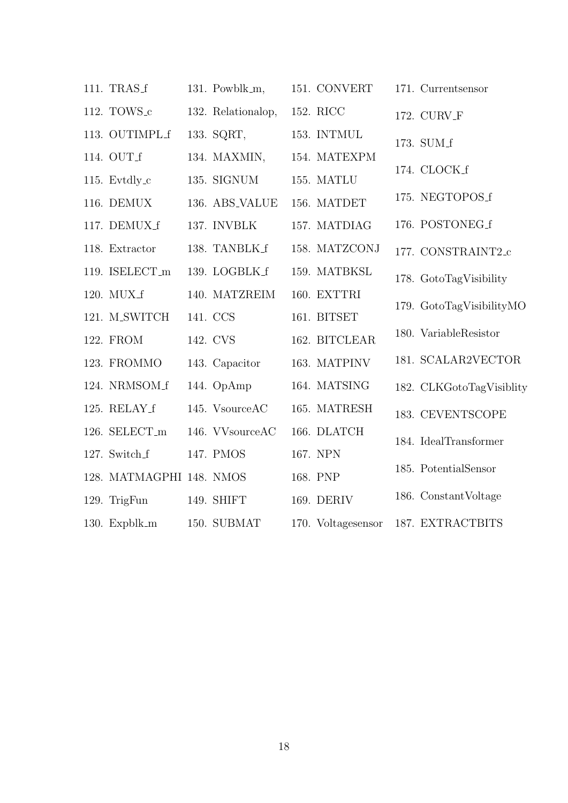| 111. TRAS_f              | 131. Powblk_m,     | 151. CONVERT       | 171. Currentsensor       |
|--------------------------|--------------------|--------------------|--------------------------|
| 112. TOWS <sub>-C</sub>  | 132. Relationalop, | 152. RICC          | 172. CURV_F              |
| 113. OUTIMPL_f           | 133. SQRT,         | 153. INTMUL        | 173. SUM_f               |
| 114. OUT_f               | 134. MAXMIN,       | 154. MATEXPM       |                          |
| 115. Evtdly_c            | 135. SIGNUM        | 155. MATLU         | 174. CLOCK_f             |
| 116. DEMUX               | 136. ABS_VALUE     | 156. MATDET        | 175. NEGTOPOS_f          |
| 117. DEMUX_f             | 137. INVBLK        | 157. MATDIAG       | 176. POSTONEG_f          |
| 118. Extractor           | 138. TANBLK_f      | 158. MATZCONJ      | 177. CONSTRAINT2_c       |
| 119. ISELECT_m           | 139. LOGBLK_f      | 159. MATBKSL       | 178. GotoTagVisibility   |
| 120. MUX_f               | 140. MATZREIM      | 160. EXTTRI        | 179. GotoTagVisibilityMO |
| 121. M.SWITCH            | 141. CCS           | 161. BITSET        |                          |
| 122. FROM                | 142. CVS           | 162. BITCLEAR      | 180. VariableResistor    |
| 123. FROMMO              | 143. Capacitor     | 163. MATPINV       | 181. SCALAR2VECTOR       |
| 124. NRMSOM_f            | 144. OpAmp         | 164. MATSING       | 182. CLKGotoTagVisiblity |
| 125. RELAY_f             | 145. VsourceAC     | 165. MATRESH       | 183. CEVENTSCOPE         |
| 126. SELECT_m            | 146. VVsourceAC    | 166. DLATCH        | 184. IdealTransformer    |
| 127. Switch_f            | 147. PMOS          | 167. NPN           |                          |
| 128. MATMAGPHI 148. NMOS |                    | 168. PNP           | 185. PotentialSensor     |
| 129. TrigFun             | 149. SHIFT         | 169. DERIV         | 186. Constant Voltage    |
| 130. Expblk_m            | 150. SUBMAT        | 170. Voltagesensor | 187. EXTRACTBITS         |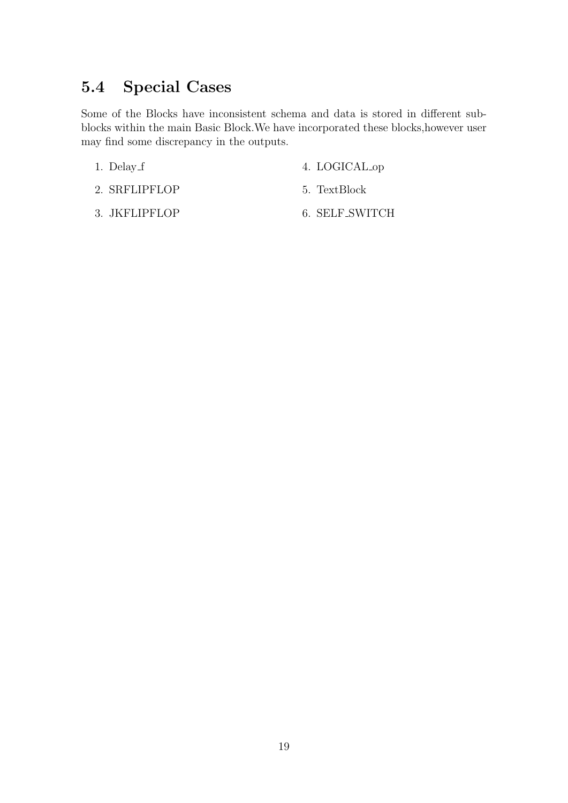## <span id="page-19-0"></span>5.4 Special Cases

Some of the Blocks have inconsistent schema and data is stored in different subblocks within the main Basic Block.We have incorporated these blocks,however user may find some discrepancy in the outputs.

1. Delay f

4. LOGICAL op

- 2. SRFLIPFLOP
- 3. JKFLIPFLOP
- 5. TextBlock
- 6. SELF SWITCH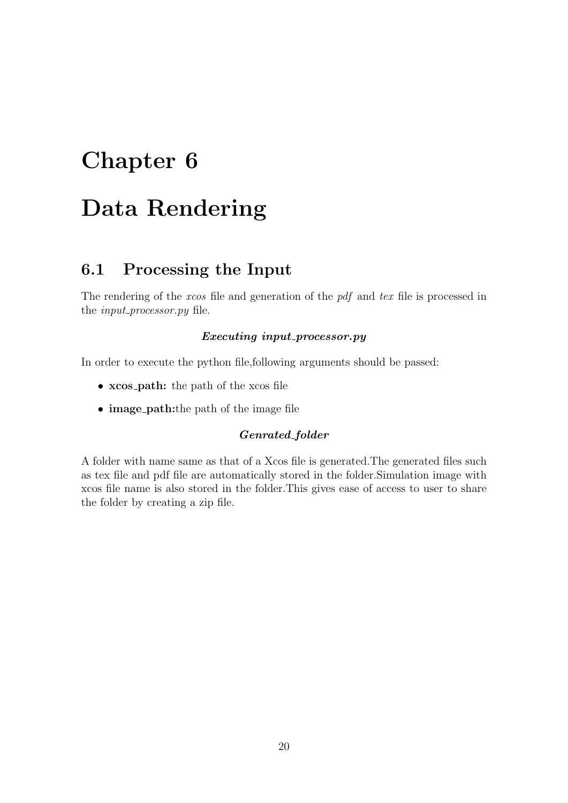## <span id="page-20-0"></span>Data Rendering

## <span id="page-20-1"></span>6.1 Processing the Input

The rendering of the *xcos* file and generation of the *pdf* and tex file is processed in the *input\_processor.py* file.

#### Executing input\_processor.py

In order to execute the python file,following arguments should be passed:

- xcos path: the path of the xcos file
- image path:the path of the image file

#### Genrated\_folder

A folder with name same as that of a Xcos file is generated.The generated files such as tex file and pdf file are automatically stored in the folder.Simulation image with xcos file name is also stored in the folder.This gives ease of access to user to share the folder by creating a zip file.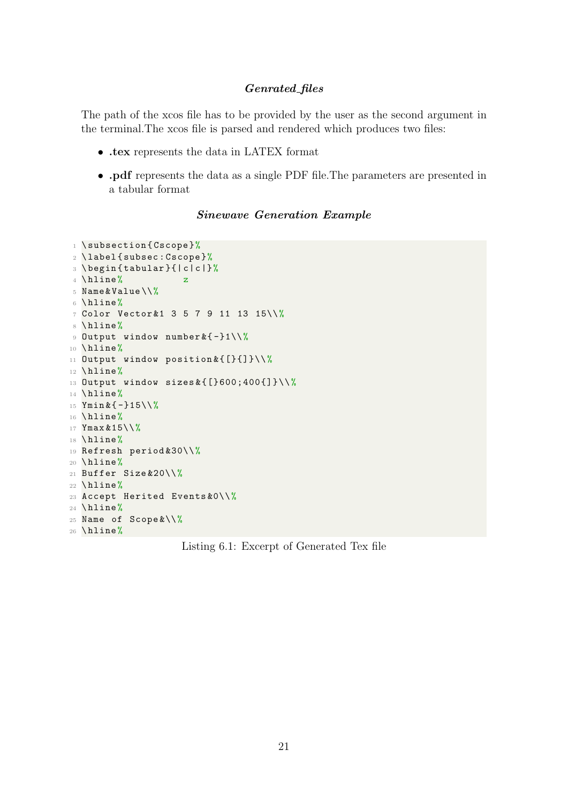#### Genrated files

The path of the xcos file has to be provided by the user as the second argument in the terminal.The xcos file is parsed and rendered which produces two files:

- .tex represents the data in LATEX format
- .pdf represents the data as a single PDF file.The parameters are presented in a tabular format

#### Sinewave Generation Example

```
1 \subsection { Cscope }%
2 \ \text{label} \3 \ begin { tabular }{| c | c |}%
4 \ \hbox{hline}\% z
5 Name & Value \\%
6 \hline%
7 Color Vector & 1 3 5 7 9 11 13 15\\%
8 \hline%
9 Output window number \& {-}1\\%
10 \hline%
11 Output window position & { [ } { ] } \ \ %
12 \hline%
13 Output window sizes k\{[]600;400[] \}\14 \hline%
15 Ymin & { - } 15 \ \ %
16 \hline%
17 Ymax & 15\\%
18 \hline%
19 Refresh period & 30\\%
20 \hline%
21 Buffer Size &20\\ %
22 \hline%
23 Accept Herited Events &0\\ %
24 \hline%
25 Name of Scope \&\setminus\setminus\%26 \hline%
```
Listing 6.1: Excerpt of Generated Tex file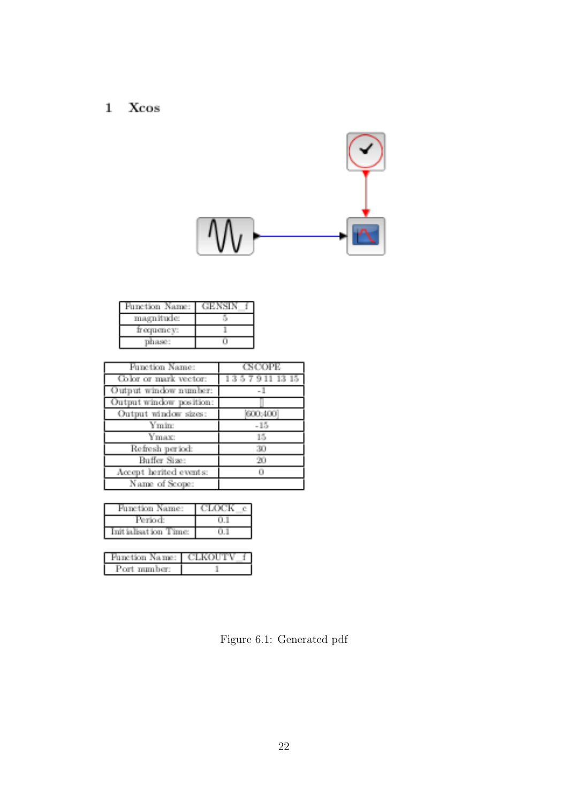#### $\mathbf{1}$ Xcos



| ine tion.<br>- Personal |  |
|-------------------------|--|
| пнадніш                 |  |
| пенсу.                  |  |
|                         |  |

| Function Name:          | <b>CSCOPE</b> |
|-------------------------|---------------|
| Color or mark vector:   | 135791113     |
| Output window number:   | - 11          |
| Output window position: |               |
| Output window sizes:    | 600:400       |
| Vrojne.                 | $-15$         |
| Ymax:                   | 15            |
| Refresh period:         | 30            |
| Buffer Size:            | 20            |
| Accept herited events:  | Ō             |
| Name of Scope:          |               |

| Function Name:                      | VIT JOM.<br>祖 |
|-------------------------------------|---------------|
|                                     |               |
| format.<br>ΩŘ.<br><b>IBGLE JOIN</b> |               |

| Ametion Name:         | EC 6-31 II<br>ш |
|-----------------------|-----------------|
| mm her:<br><b>CAR</b> |                 |

Figure 6.1: Generated pdf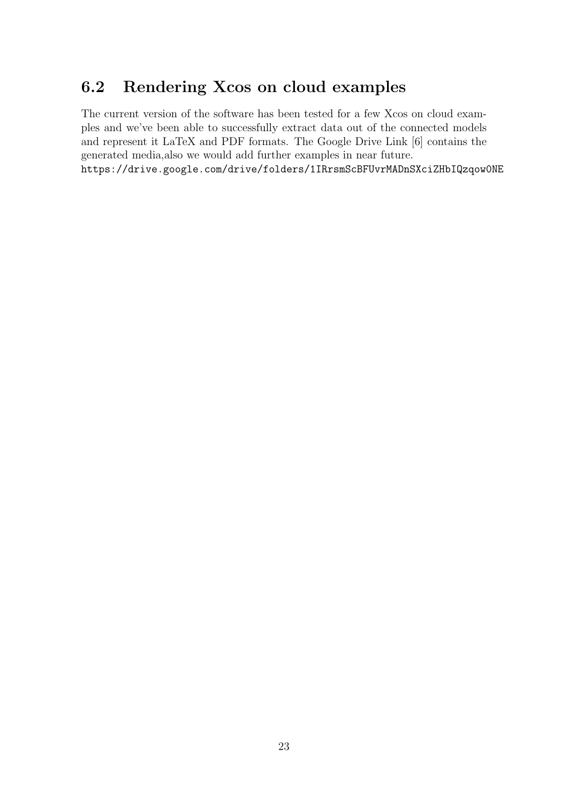## <span id="page-23-0"></span>6.2 Rendering Xcos on cloud examples

The current version of the software has been tested for a few Xcos on cloud examples and we've been able to successfully extract data out of the connected models and represent it LaTeX and PDF formats. The Google Drive Link [\[6\]](#page-24-5) contains the generated media,also we would add further examples in near future. <https://drive.google.com/drive/folders/1IRrsmScBFUvrMADnSXciZHbIQzqow0NE>